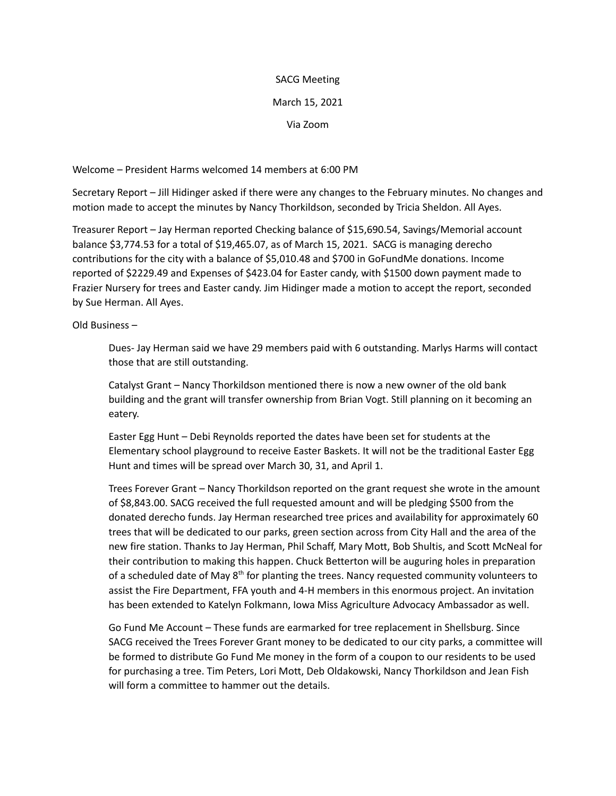## SACG Meeting

## March 15, 2021

Via Zoom

Welcome – President Harms welcomed 14 members at 6:00 PM

Secretary Report – Jill Hidinger asked if there were any changes to the February minutes. No changes and motion made to accept the minutes by Nancy Thorkildson, seconded by Tricia Sheldon. All Ayes.

Treasurer Report – Jay Herman reported Checking balance of \$15,690.54, Savings/Memorial account balance \$3,774.53 for a total of \$19,465.07, as of March 15, 2021. SACG is managing derecho contributions for the city with a balance of \$5,010.48 and \$700 in GoFundMe donations. Income reported of \$2229.49 and Expenses of \$423.04 for Easter candy, with \$1500 down payment made to Frazier Nursery for trees and Easter candy. Jim Hidinger made a motion to accept the report, seconded by Sue Herman. All Ayes.

Old Business –

Dues- Jay Herman said we have 29 members paid with 6 outstanding. Marlys Harms will contact those that are still outstanding.

Catalyst Grant – Nancy Thorkildson mentioned there is now a new owner of the old bank building and the grant will transfer ownership from Brian Vogt. Still planning on it becoming an eatery.

Easter Egg Hunt – Debi Reynolds reported the dates have been set for students at the Elementary school playground to receive Easter Baskets. It will not be the traditional Easter Egg Hunt and times will be spread over March 30, 31, and April 1.

Trees Forever Grant – Nancy Thorkildson reported on the grant request she wrote in the amount of \$8,843.00. SACG received the full requested amount and will be pledging \$500 from the donated derecho funds. Jay Herman researched tree prices and availability for approximately 60 trees that will be dedicated to our parks, green section across from City Hall and the area of the new fire station. Thanks to Jay Herman, Phil Schaff, Mary Mott, Bob Shultis, and Scott McNeal for their contribution to making this happen. Chuck Betterton will be auguring holes in preparation of a scheduled date of May 8<sup>th</sup> for planting the trees. Nancy requested community volunteers to assist the Fire Department, FFA youth and 4-H members in this enormous project. An invitation has been extended to Katelyn Folkmann, Iowa Miss Agriculture Advocacy Ambassador as well.

Go Fund Me Account – These funds are earmarked for tree replacement in Shellsburg. Since SACG received the Trees Forever Grant money to be dedicated to our city parks, a committee will be formed to distribute Go Fund Me money in the form of a coupon to our residents to be used for purchasing a tree. Tim Peters, Lori Mott, Deb Oldakowski, Nancy Thorkildson and Jean Fish will form a committee to hammer out the details.